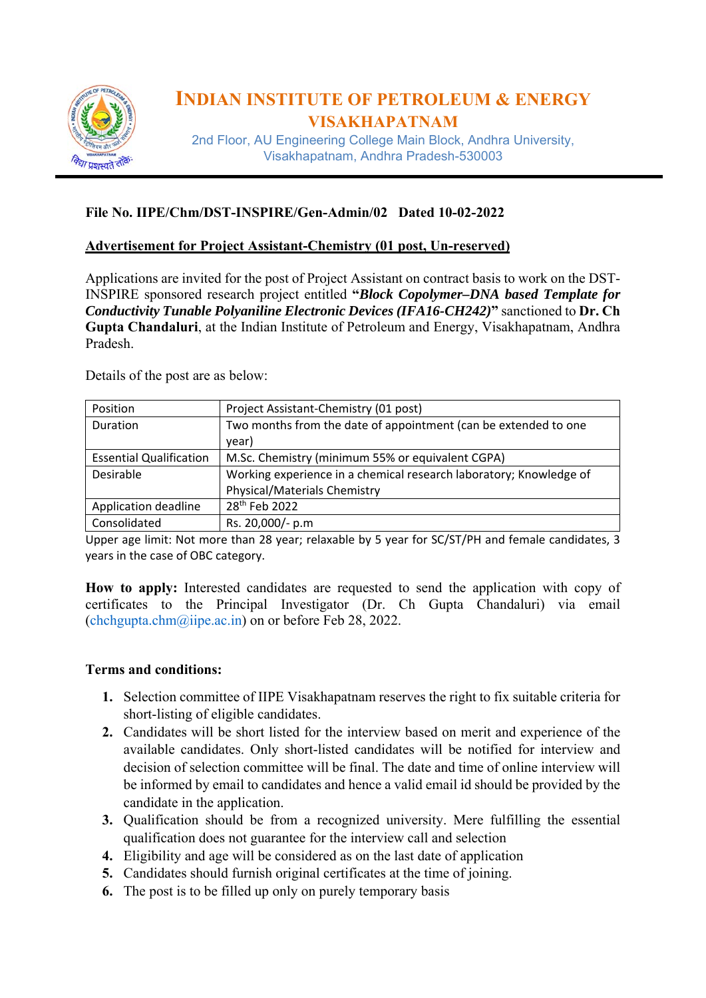

# **INDIAN INSTITUTE OF PETROLEUM & ENERGY VISAKHAPATNAM**

2nd Floor, AU Engineering College Main Block, Andhra University, Visakhapatnam, Andhra Pradesh-530003

#### **File No. IIPE/Chm/DST-INSPIRE/Gen-Admin/02 Dated 10-02-2022**

#### **Advertisement for Project Assistant-Chemistry (01 post, Un-reserved)**

Applications are invited for the post of Project Assistant on contract basis to work on the DST-INSPIRE sponsored research project entitled **"***Block Copolymer–DNA based Template for Conductivity Tunable Polyaniline Electronic Devices (IFA16-CH242)***"** sanctioned to **Dr. Ch Gupta Chandaluri**, at the Indian Institute of Petroleum and Energy, Visakhapatnam, Andhra Pradesh.

Details of the post are as below:

| Position                       | Project Assistant-Chemistry (01 post)                              |  |  |
|--------------------------------|--------------------------------------------------------------------|--|--|
| Duration                       | Two months from the date of appointment (can be extended to one    |  |  |
|                                | year)                                                              |  |  |
| <b>Essential Qualification</b> | M.Sc. Chemistry (minimum 55% or equivalent CGPA)                   |  |  |
| Desirable                      | Working experience in a chemical research laboratory; Knowledge of |  |  |
|                                | <b>Physical/Materials Chemistry</b>                                |  |  |
| Application deadline           | 28 <sup>th</sup> Feb 2022                                          |  |  |
| Consolidated                   | Rs. 20,000/- p.m                                                   |  |  |

Upper age limit: Not more than 28 year; relaxable by 5 year for SC/ST/PH and female candidates, 3 years in the case of OBC category.

How to apply: Interested candidates are requested to send the application with copy of certificates to the Principal Investigator (Dr. Ch Gupta Chandaluri) via email (chchgupta.chm@iipe.ac.in) on or before Feb 28, 2022.

#### **Terms and conditions:**

- **1.** Selection committee of IIPE Visakhapatnam reserves the right to fix suitable criteria for short-listing of eligible candidates.
- **2.** Candidates will be short listed for the interview based on merit and experience of the available candidates. Only short-listed candidates will be notified for interview and decision of selection committee will be final. The date and time of online interview will be informed by email to candidates and hence a valid email id should be provided by the candidate in the application.
- **3.** Qualification should be from a recognized university. Mere fulfilling the essential qualification does not guarantee for the interview call and selection
- **4.** Eligibility and age will be considered as on the last date of application
- **5.** Candidates should furnish original certificates at the time of joining.
- **6.** The post is to be filled up only on purely temporary basis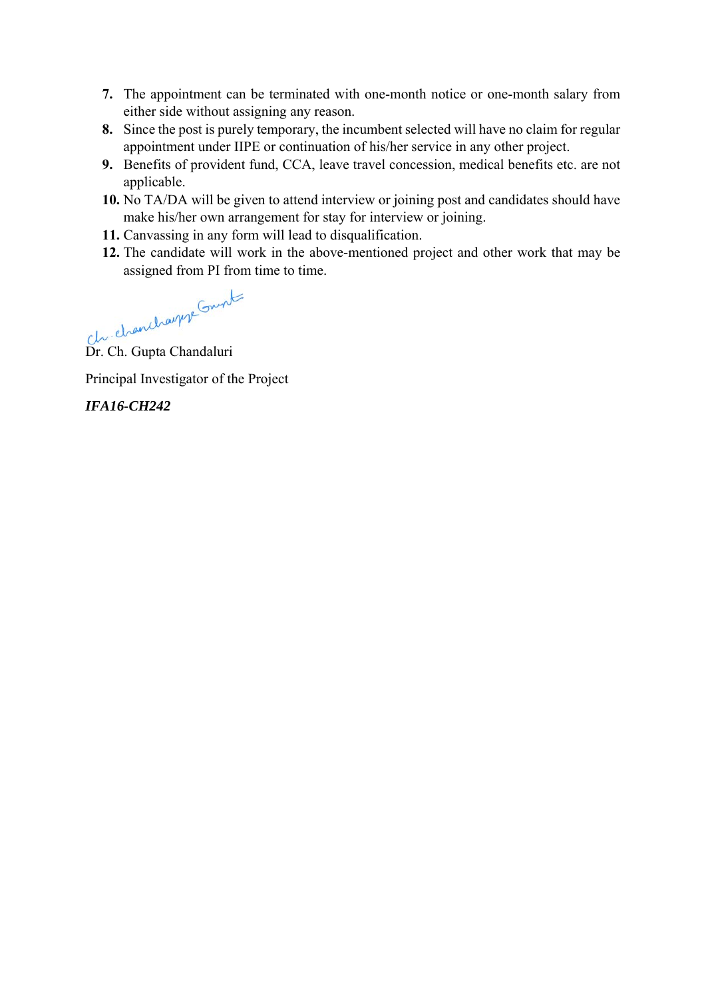- **7.** The appointment can be terminated with one-month notice or one-month salary from either side without assigning any reason.
- **8.** Since the post is purely temporary, the incumbent selected will have no claim for regular appointment under IIPE or continuation of his/her service in any other project.
- **9.** Benefits of provident fund, CCA, leave travel concession, medical benefits etc. are not applicable.
- **10.** No TA/DA will be given to attend interview or joining post and candidates should have make his/her own arrangement for stay for interview or joining.
- **11.** Canvassing in any form will lead to disqualification.
- **12.** The candidate will work in the above-mentioned project and other work that may be assigned from PI from time to time.

Dr. Ch. Gupta Chandaluri

Principal Investigator of the Project

*IFA16-CH242*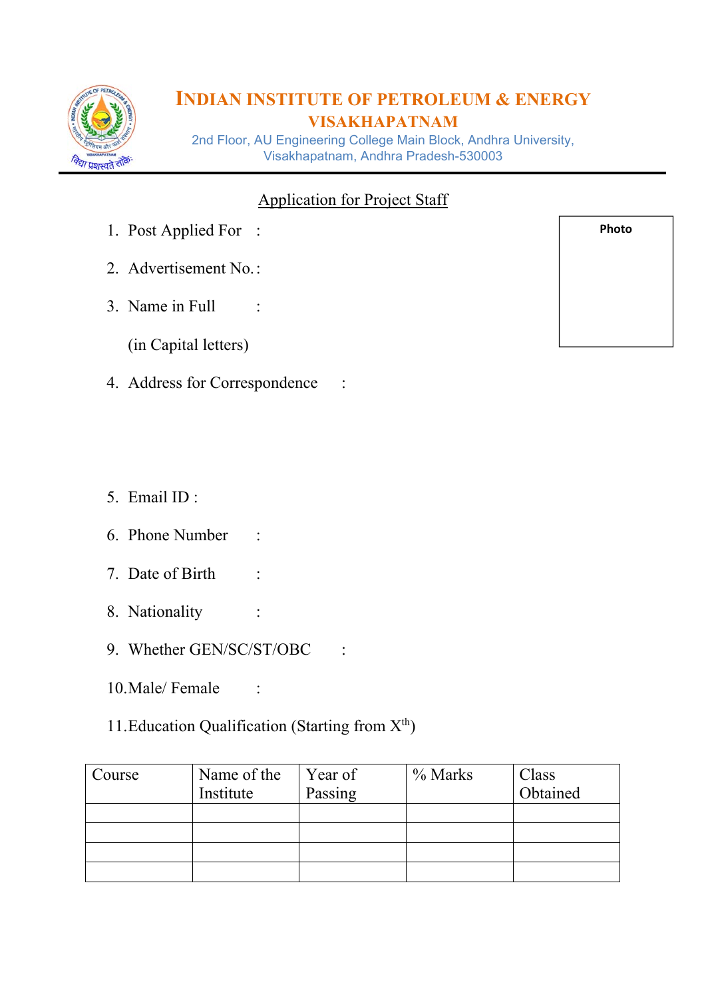

# **INDIAN INSTITUTE OF PETROLEUM & ENERGY VISAKHAPATNAM**

2nd Floor, AU Engineering College Main Block, Andhra University, Visakhapatnam, Andhra Pradesh-530003

## Application for Project Staff

- 1. Post Applied For :
- 2. Advertisement No. :
- 3. Name in Full :
	- (in Capital letters)
- 4. Address for Correspondence :
- 5. Email ID :
- 6. Phone Number :
- 7. Date of Birth :
- 8. Nationality :
- 9. Whether GEN/SC/ST/OBC :
- 10.Male/ Female :

## 11. Education Qualification (Starting from  $X^{th}$ )

| Course | Name of the | Year of | % Marks | Class    |
|--------|-------------|---------|---------|----------|
|        | Institute   | Passing |         | Obtained |
|        |             |         |         |          |
|        |             |         |         |          |
|        |             |         |         |          |
|        |             |         |         |          |

**Photo**